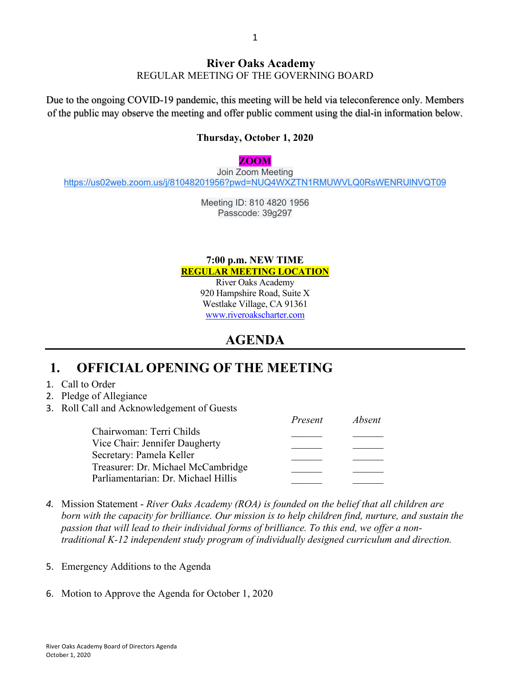### **River Oaks Academy** REGULAR MEETING OF THE GOVERNING BOARD

Due to the ongoing COVID-19 pandemic, this meeting will be held via teleconference only. Members of the public may observe the meeting and offer public comment using the dial-in information below.

### **Thursday, October 1, 2020**

#### **ZOOM**

Join Zoom Meeting https://us02web.zoom.us/j/81048201956?pwd=NUQ4WXZTN1RMUWVLQ0RsWENRUlNVQT09

> Meeting ID: 810 4820 1956 Passcode: 39g297

### **7:00 p.m. NEW TIME REGULAR MEETING LOCATION**

River Oaks Academy 920 Hampshire Road, Suite X Westlake Village, CA 91361 www.riveroakscharter.com

## **AGENDA**

## **1. OFFICIAL OPENING OF THE MEETING**

- 1. Call to Order
- 2. Pledge of Allegiance
- 3. Roll Call and Acknowledgement of Guests

|                                     | Present | Absent |
|-------------------------------------|---------|--------|
| Chairwoman: Terri Childs            |         |        |
| Vice Chair: Jennifer Daugherty      |         |        |
| Secretary: Pamela Keller            |         |        |
| Treasurer: Dr. Michael McCambridge  |         |        |
| Parliamentarian: Dr. Michael Hillis |         |        |

- *4.* Mission Statement *River Oaks Academy (ROA) is founded on the belief that all children are born with the capacity for brilliance. Our mission is to help children find, nurture, and sustain the passion that will lead to their individual forms of brilliance. To this end, we offer a nontraditional K-12 independent study program of individually designed curriculum and direction.*
- 5. Emergency Additions to the Agenda
- 6. Motion to Approve the Agenda for October 1, 2020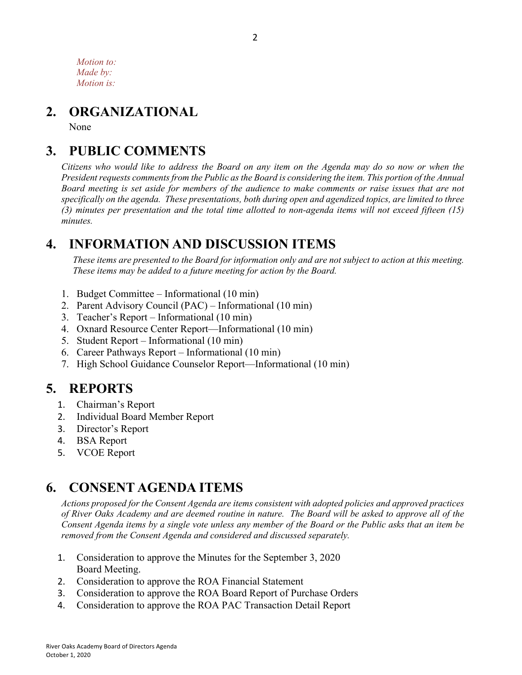*Motion to: Made by: Motion is:*

## **2. ORGANIZATIONAL**

None

## **3. PUBLIC COMMENTS**

*Citizens who would like to address the Board on any item on the Agenda may do so now or when the President requests comments from the Public as the Board is considering the item. This portion of the Annual Board meeting is set aside for members of the audience to make comments or raise issues that are not specifically on the agenda. These presentations, both during open and agendized topics, are limited to three (3) minutes per presentation and the total time allotted to non-agenda items will not exceed fifteen (15) minutes.*

## **4. INFORMATION AND DISCUSSION ITEMS**

*These items are presented to the Board for information only and are not subject to action at this meeting. These items may be added to a future meeting for action by the Board.*

- 1. Budget Committee Informational (10 min)
- 2. Parent Advisory Council (PAC) Informational (10 min)
- 3. Teacher's Report Informational (10 min)
- 4. Oxnard Resource Center Report—Informational (10 min)
- 5. Student Report Informational (10 min)
- 6. Career Pathways Report Informational (10 min)
- 7. High School Guidance Counselor Report—Informational (10 min)

# **5. REPORTS**

- 1. Chairman's Report
- 2. Individual Board Member Report
- 3. Director's Report
- 4. BSA Report
- 5. VCOE Report

## **6. CONSENT AGENDA ITEMS**

*Actions proposed for the Consent Agenda are items consistent with adopted policies and approved practices of River Oaks Academy and are deemed routine in nature. The Board will be asked to approve all of the Consent Agenda items by a single vote unless any member of the Board or the Public asks that an item be removed from the Consent Agenda and considered and discussed separately.*

- 1. Consideration to approve the Minutes for the September 3, 2020 Board Meeting.
- 2. Consideration to approve the ROA Financial Statement
- 3. Consideration to approve the ROA Board Report of Purchase Orders
- 4. Consideration to approve the ROA PAC Transaction Detail Report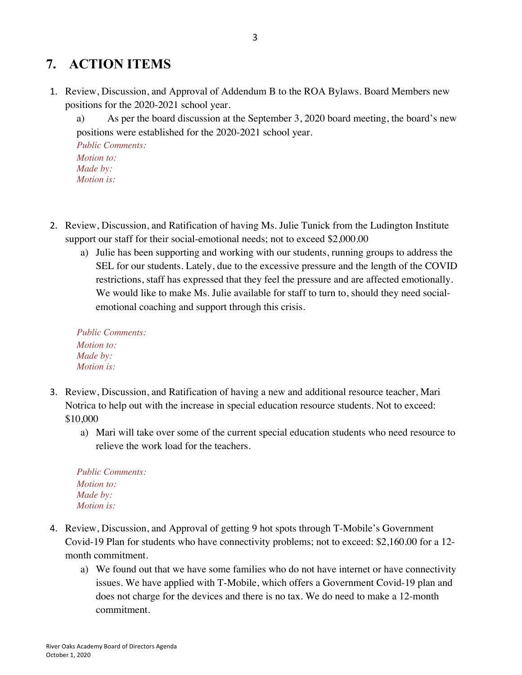# **7. ACTION ITEMS**

1. Review, Discussion, and Approval of Addendum B to the ROA Bylaws. Board Members new positions for the 2020-2021 school year.

a) As per the board discussion at the September 3, 2020 board meeting, the board's new positions were established for the 2020-2021 school year. *Public Comments:*

*Motion to: Made by: Motion is:*

- 2. Review, Discussion, and Ratification of having Ms. Julie Tunick from the Ludington Institute support our staff for their social-emotional needs; not to exceed \$2,000.00
	- a) Julie has been supporting and working with our students, running groups to address the SEL for our students. Lately, due to the excessive pressure and the length of the COVID restrictions, staff has expressed that they feel the pressure and are affected emotionally. We would like to make Ms. Julie available for staff to turn to, should they need socialemotional coaching and support through this crisis.

*Public Comments: Motion to: Made by: Motion is:*

- 3. Review, Discussion, and Ratification of having a new and additional resource teacher, Mari Notrica to help out with the increase in special education resource students. Not to exceed: \$10,000
	- a) Mari will take over some of the current special education students who need resource to relieve the work load for the teachers.

| <b>Public Comments:</b> |  |
|-------------------------|--|
| <i>Motion to:</i>       |  |
| Made by:                |  |
| <i>Motion is:</i>       |  |

- 4. Review, Discussion, and Approval of getting 9 hot spots through T-Mobile's Government Covid-19 Plan for students who have connectivity problems; not to exceed: \$2,160.00 for a 12 month commitment.
	- a) We found out that we have some families who do not have internet or have connectivity issues. We have applied with T-Mobile, which offers a Government Covid-19 plan and does not charge for the devices and there is no tax. We do need to make a 12-month commitment.